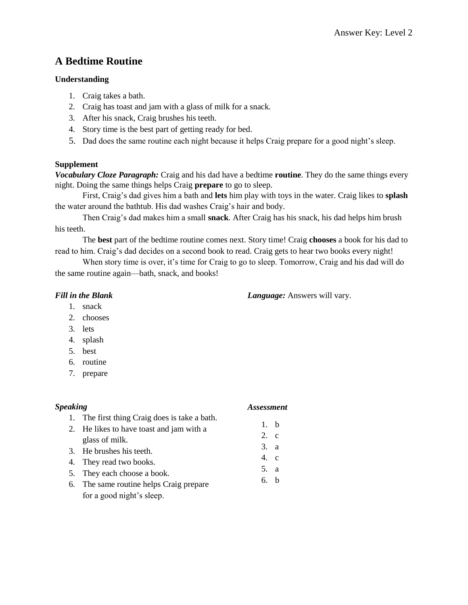# **A Bedtime Routine**

#### **Understanding**

- 1. Craig takes a bath.
- 2. Craig has toast and jam with a glass of milk for a snack.
- 3. After his snack, Craig brushes his teeth.
- 4. Story time is the best part of getting ready for bed.
- 5. Dad does the same routine each night because it helps Craig prepare for a good night's sleep.

### **Supplement**

*Vocabulary Cloze Paragraph:* Craig and his dad have a bedtime **routine**. They do the same things every night. Doing the same things helps Craig **prepare** to go to sleep.

First, Craig's dad gives him a bath and **lets** him play with toys in the water. Craig likes to **splash** the water around the bathtub. His dad washes Craig's hair and body.

Then Craig's dad makes him a small **snack**. After Craig has his snack, his dad helps him brush his teeth.

The **best** part of the bedtime routine comes next. Story time! Craig **chooses** a book for his dad to read to him. Craig's dad decides on a second book to read. Craig gets to hear two books every night!

When story time is over, it's time for Craig to go to sleep. Tomorrow, Craig and his dad will do the same routine again—bath, snack, and books!

### *Fill in the Blank*

*Language:* Answers will vary.

- 1. snack
- 2. chooses
- 3. lets
- 4. splash
- 5. best
- 6. routine
- 7. prepare

# *Speaking*

### *Assessment*

6. b

- 1. The first thing Craig does is take a bath. 2. He likes to have toast and jam with a glass of milk. 3. He brushes his teeth. 4. They read two books. 1. b 2. c 3. a 4. c 5. a
- 5. They each choose a book.
- 6. The same routine helps Craig prepare for a good night's sleep.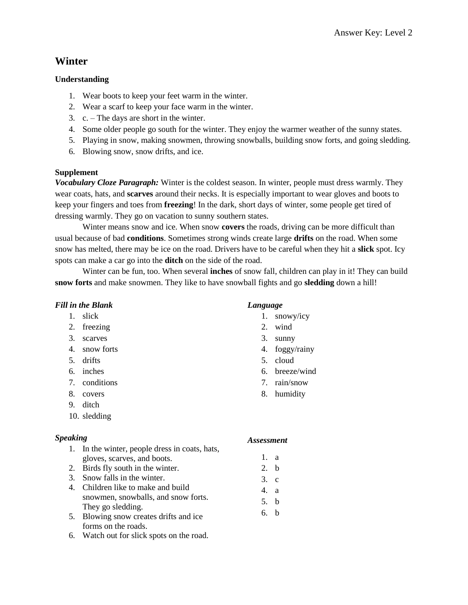# **Winter**

# **Understanding**

- 1. Wear boots to keep your feet warm in the winter.
- 2. Wear a scarf to keep your face warm in the winter.
- 3. c. The days are short in the winter.
- 4. Some older people go south for the winter. They enjoy the warmer weather of the sunny states.
- 5. Playing in snow, making snowmen, throwing snowballs, building snow forts, and going sledding.
- 6. Blowing snow, snow drifts, and ice.

### **Supplement**

*Vocabulary Cloze Paragraph:* Winter is the coldest season. In winter, people must dress warmly. They wear coats, hats, and **scarves** around their necks. It is especially important to wear gloves and boots to keep your fingers and toes from **freezing**! In the dark, short days of winter, some people get tired of dressing warmly. They go on vacation to sunny southern states.

Winter means snow and ice. When snow **covers** the roads, driving can be more difficult than usual because of bad **conditions**. Sometimes strong winds create large **drifts** on the road. When some snow has melted, there may be ice on the road. Drivers have to be careful when they hit a **slick** spot. Icy spots can make a car go into the **ditch** on the side of the road.

Winter can be fun, too. When several **inches** of snow fall, children can play in it! They can build **snow forts** and make snowmen. They like to have snowball fights and go **sledding** down a hill!

### *Fill in the Blank*

- 1. slick
- 2. freezing
- 3. scarves
- 4. snow forts
- 5. drifts
- 6. inches
- 7. conditions
- 8. covers
- 9. ditch
- 10. sledding

### *Speaking*

- 1. In the winter, people dress in coats, hats, gloves, scarves, and boots.
- 2. Birds fly south in the winter.
- 3. Snow falls in the winter.
- 4. Children like to make and build snowmen, snowballs, and snow forts. They go sledding.
- 5. Blowing snow creates drifts and ice forms on the roads.
- 6. Watch out for slick spots on the road.

# *Language*

- 1. snowy/icy
- 2. wind
- 3. sunny
- 4. foggy/rainy
- 5. cloud
- 6. breeze/wind
- 7. rain/snow
- 8. humidity

- 1. a
- 2. b
- 3. c
- 4. a
- 5. b
- 6. b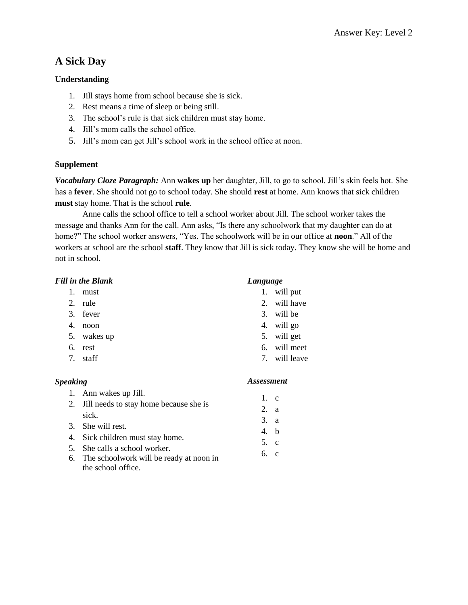# **A Sick Day**

### **Understanding**

- 1. Jill stays home from school because she is sick.
- 2. Rest means a time of sleep or being still.
- 3. The school's rule is that sick children must stay home.
- 4. Jill's mom calls the school office.
- 5. Jill's mom can get Jill's school work in the school office at noon.

#### **Supplement**

*Vocabulary Cloze Paragraph:* Ann **wakes up** her daughter, Jill, to go to school. Jill's skin feels hot. She has a **fever**. She should not go to school today. She should **rest** at home. Ann knows that sick children **must** stay home. That is the school **rule**.

Anne calls the school office to tell a school worker about Jill. The school worker takes the message and thanks Ann for the call. Ann asks, "Is there any schoolwork that my daughter can do at home?" The school worker answers, "Yes. The schoolwork will be in our office at **noon**." All of the workers at school are the school **staff**. They know that Jill is sick today. They know she will be home and not in school.

#### *Fill in the Blank*

- 1. must
- 2. rule
- 3. fever
- 4. noon
- 5. wakes up
- 6. rest
- 7. staff

#### *Language*

- 1. will put
- 2. will have
- 3. will be
- 4. will go
- 5. will get
- 6. will meet
- 7. will leave

#### *Speaking*

- 1. Ann wakes up Jill. 2. Jill needs to stay home because she is sick. 3. She will rest. 4. Sick children must stay home. 5. She calls a school worker. 6. The schoolwork will be ready at noon in 1. c 2. a 3. a 4. b 5. c 6. c
	- the school office.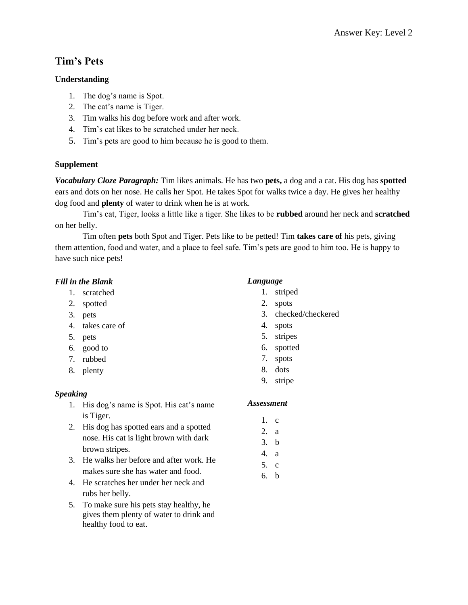# **Tim's Pets**

# **Understanding**

- 1. The dog's name is Spot.
- 2. The cat's name is Tiger.
- 3. Tim walks his dog before work and after work.
- 4. Tim's cat likes to be scratched under her neck.
- 5. Tim's pets are good to him because he is good to them.

# **Supplement**

*Vocabulary Cloze Paragraph:* Tim likes animals. He has two **pets,** a dog and a cat. His dog has **spotted** ears and dots on her nose. He calls her Spot. He takes Spot for walks twice a day. He gives her healthy dog food and **plenty** of water to drink when he is at work.

Tim's cat, Tiger, looks a little like a tiger. She likes to be **rubbed** around her neck and **scratched** on her belly.

Tim often **pets** both Spot and Tiger. Pets like to be petted! Tim **takes care of** his pets, giving them attention, food and water, and a place to feel safe. Tim's pets are good to him too. He is happy to have such nice pets!

# *Fill in the Blank*

- 1. scratched
- 2. spotted
- 3. pets
- 4. takes care of
- 5. pets
- 6. good to
- 7. rubbed
- 8. plenty

### *Speaking*

- 1. His dog's name is Spot. His cat's name is Tiger.
- 2. His dog has spotted ears and a spotted nose. His cat is light brown with dark brown stripes.
- 3. He walks her before and after work. He makes sure she has water and food.
- 4. He scratches her under her neck and rubs her belly.
- 5. To make sure his pets stay healthy, he gives them plenty of water to drink and healthy food to eat.

# *Language*

- 1. striped
- 2. spots
- 3. checked/checkered
- 4. spots
- 5. stripes
- 6. spotted
- 7. spots
- 8. dots
- 9. stripe

- 1. c
- 2. a
- 3. b
- 4. a
- 5. c
- 6. b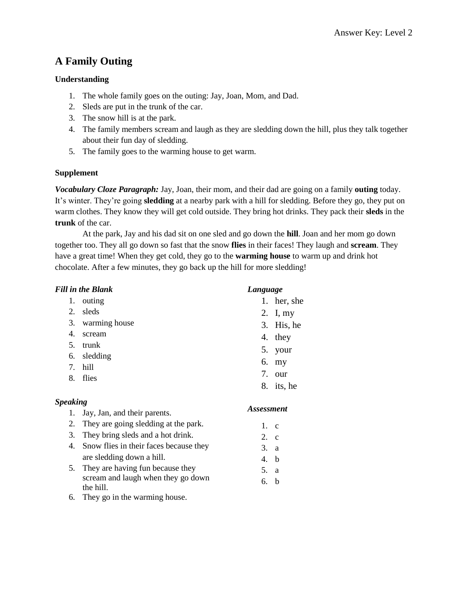# **A Family Outing**

# **Understanding**

- 1. The whole family goes on the outing: Jay, Joan, Mom, and Dad.
- 2. Sleds are put in the trunk of the car.
- 3. The snow hill is at the park.
- 4. The family members scream and laugh as they are sledding down the hill, plus they talk together about their fun day of sledding.
- 5. The family goes to the warming house to get warm.

# **Supplement**

*Vocabulary Cloze Paragraph:* Jay, Joan, their mom, and their dad are going on a family **outing** today. It's winter. They're going **sledding** at a nearby park with a hill for sledding. Before they go, they put on warm clothes. They know they will get cold outside. They bring hot drinks. They pack their **sleds** in the **trunk** of the car.

At the park, Jay and his dad sit on one sled and go down the **hill**. Joan and her mom go down together too. They all go down so fast that the snow **flies** in their faces! They laugh and **scream**. They have a great time! When they get cold, they go to the **warming house** to warm up and drink hot chocolate. After a few minutes, they go back up the hill for more sledding!

| <b>Fill in the Blank</b> |                                        |       | Language          |  |
|--------------------------|----------------------------------------|-------|-------------------|--|
| 1.                       | outing                                 |       | 1. her, she       |  |
| 2.                       | sleds                                  |       | 2. I, my          |  |
| 3.                       | warming house                          |       | 3. His, he        |  |
| 4.                       | scream                                 | 4.    | they              |  |
| 5.                       | trunk                                  | 5.    | your              |  |
| 6.                       | sledding                               | 6.    |                   |  |
| 7.                       | hill                                   |       | my                |  |
| 8.                       | flies                                  | 7.    | our               |  |
|                          |                                        |       | 8. its, he        |  |
| <b>Speaking</b>          |                                        |       |                   |  |
| 1.                       | Jay, Jan, and their parents.           |       | <b>Assessment</b> |  |
| 2.                       | They are going sledding at the park.   | 1. c  |                   |  |
| 3.                       | They bring sleds and a hot drink.      | 2. c  |                   |  |
| 4.                       | Snow flies in their faces because they | 3. a  |                   |  |
|                          | are sledding down a hill.              | 4.    | b                 |  |
| 5.                       | They are having fun because they       | 5.    | a                 |  |
|                          | scream and laugh when they go down     | $6-h$ |                   |  |

6. b

6. They go in the warming house.

the hill.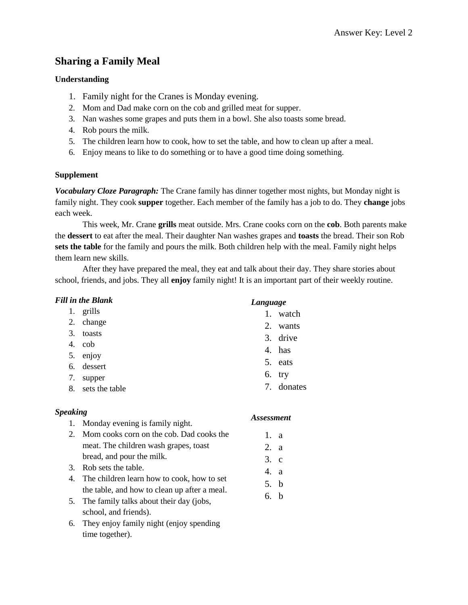# **Sharing a Family Meal**

### **Understanding**

- 1. Family night for the Cranes is Monday evening.
- 2. Mom and Dad make corn on the cob and grilled meat for supper.
- 3. Nan washes some grapes and puts them in a bowl. She also toasts some bread.
- 4. Rob pours the milk.
- 5. The children learn how to cook, how to set the table, and how to clean up after a meal.
- 6. Enjoy means to like to do something or to have a good time doing something.

### **Supplement**

*Vocabulary Cloze Paragraph:* The Crane family has dinner together most nights, but Monday night is family night. They cook **supper** together. Each member of the family has a job to do. They **change** jobs each week.

This week, Mr. Crane **grills** meat outside. Mrs. Crane cooks corn on the **cob**. Both parents make the **dessert** to eat after the meal. Their daughter Nan washes grapes and **toasts** the bread. Their son Rob **sets the table** for the family and pours the milk. Both children help with the meal. Family night helps them learn new skills.

After they have prepared the meal, they eat and talk about their day. They share stories about school, friends, and jobs. They all **enjoy** family night! It is an important part of their weekly routine.

| <b>Fill in the Blank</b>                                 |                                                                                            | Language             |
|----------------------------------------------------------|--------------------------------------------------------------------------------------------|----------------------|
| 1.                                                       | grills                                                                                     | 1. watch             |
| 2.                                                       | change                                                                                     | $2_{\cdot}$<br>wants |
| 3.                                                       | toasts                                                                                     | 3. drive             |
| 4.                                                       | cob                                                                                        | 4. has               |
| 5.                                                       | enjoy                                                                                      |                      |
| 6.                                                       | dessert                                                                                    | 5. eats              |
| 7.                                                       | supper                                                                                     | 6.<br>try            |
| 8.                                                       | sets the table                                                                             | 7. donates           |
| <b>Speaking</b><br>Monday evening is family night.<br>1. |                                                                                            | <b>Assessment</b>    |
|                                                          |                                                                                            |                      |
| 2.                                                       | Mom cooks corn on the cob. Dad cooks the                                                   | $\mathbf{1}$ .<br>a  |
|                                                          | meat. The children wash grapes, toast                                                      | 2. a                 |
|                                                          | bread, and pour the milk.                                                                  | 3. c                 |
| 3.                                                       | Rob sets the table.                                                                        | 4.<br><sup>2</sup>   |
| 4.                                                       | The children learn how to cook, how to set<br>the table, and how to clean up after a meal. | 5. b                 |

6. They enjoy family night (enjoy spending time together).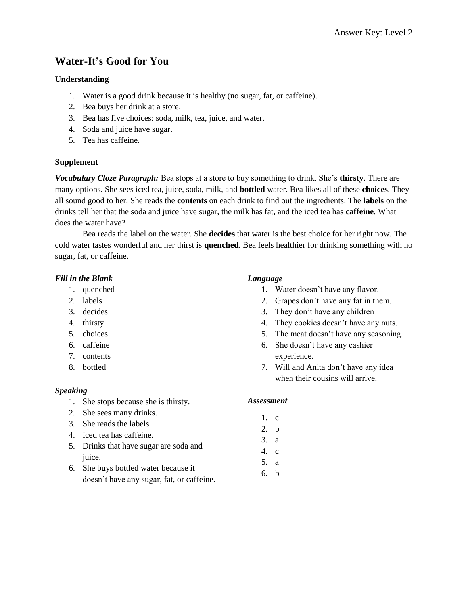# **Water-It's Good for You**

#### **Understanding**

- 1. Water is a good drink because it is healthy (no sugar, fat, or caffeine).
- 2. Bea buys her drink at a store.
- 3. Bea has five choices: soda, milk, tea, juice, and water.
- 4. Soda and juice have sugar.
- 5. Tea has caffeine.

#### **Supplement**

*Vocabulary Cloze Paragraph:* Bea stops at a store to buy something to drink. She's **thirsty**. There are many options. She sees iced tea, juice, soda, milk, and **bottled** water. Bea likes all of these **choices**. They all sound good to her. She reads the **contents** on each drink to find out the ingredients. The **labels** on the drinks tell her that the soda and juice have sugar, the milk has fat, and the iced tea has **caffeine**. What does the water have?

Bea reads the label on the water. She **decides** that water is the best choice for her right now. The cold water tastes wonderful and her thirst is **quenched**. Bea feels healthier for drinking something with no sugar, fat, or caffeine.

#### *Fill in the Blank*

- 1. quenched
- 2. labels
- 3. decides
- 4. thirsty
- 5. choices
- 6. caffeine
- 7. contents
- 8. bottled

#### *Speaking*

- 1. She stops because she is thirsty.
- 2. She sees many drinks.
- 3. She reads the labels.
- 4. Iced tea has caffeine.
- 5. Drinks that have sugar are soda and juice.
- 6. She buys bottled water because it doesn't have any sugar, fat, or caffeine.

#### *Language*

- 1. Water doesn't have any flavor.
- 2. Grapes don't have any fat in them.
- 3. They don't have any children
- 4. They cookies doesn't have any nuts.
- 5. The meat doesn't have any seasoning.
- 6. She doesn't have any cashier experience.
- 7. Will and Anita don't have any idea when their cousins will arrive.

- 1. c
- 2. b
- 3. a
- 4. c
- 5. a
- 6. b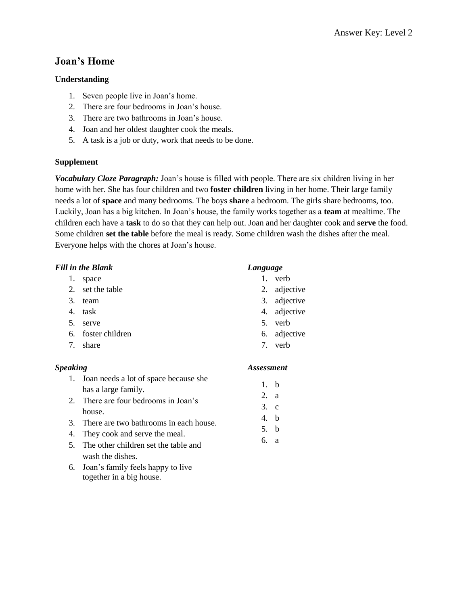# **Joan's Home**

# **Understanding**

- 1. Seven people live in Joan's home.
- 2. There are four bedrooms in Joan's house.
- 3. There are two bathrooms in Joan's house.
- 4. Joan and her oldest daughter cook the meals.
- 5. A task is a job or duty, work that needs to be done.

# **Supplement**

*Vocabulary Cloze Paragraph:* Joan's house is filled with people. There are six children living in her home with her. She has four children and two **foster children** living in her home. Their large family needs a lot of **space** and many bedrooms. The boys **share** a bedroom. The girls share bedrooms, too. Luckily, Joan has a big kitchen. In Joan's house, the family works together as a **team** at mealtime. The children each have a **task** to do so that they can help out. Joan and her daughter cook and **serve** the food. Some children **set the table** before the meal is ready. Some children wash the dishes after the meal. Everyone helps with the chores at Joan's house.

### *Fill in the Blank*

- 1. space
- 2. set the table
- 3. team
- 4. task
- 5. serve
- 6. foster children
- 7. share

### *Speaking*

# *Language*

- 1. verb
- 2. adjective
- 3. adjective
- 4. adjective
- 5. verb
- 6. adjective
- 7. verb

1. b 2. a 3. c 4. b 5. b 6. a

# 1. Joan needs a lot of space because she has a large family.

- 2. There are four bedrooms in Joan's house.
- 3. There are two bathrooms in each house.
- 4. They cook and serve the meal.
- 5. The other children set the table and wash the dishes.
- 6. Joan's family feels happy to live together in a big house.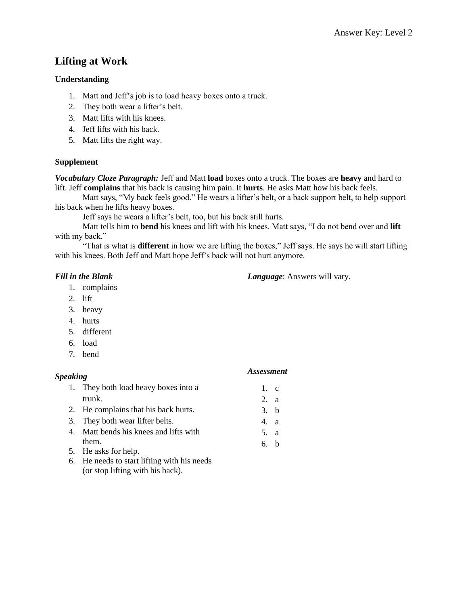# **Lifting at Work**

### **Understanding**

- 1. Matt and Jeff's job is to load heavy boxes onto a truck.
- 2. They both wear a lifter's belt.
- 3. Matt lifts with his knees.
- 4. Jeff lifts with his back.
- 5. Matt lifts the right way.

### **Supplement**

*Vocabulary Cloze Paragraph:* Jeff and Matt **load** boxes onto a truck. The boxes are **heavy** and hard to lift. Jeff **complains** that his back is causing him pain. It **hurts**. He asks Matt how his back feels.

Matt says, "My back feels good." He wears a lifter's belt, or a back support belt, to help support his back when he lifts heavy boxes.

Jeff says he wears a lifter's belt, too, but his back still hurts.

Matt tells him to **bend** his knees and lift with his knees. Matt says, "I do not bend over and **lift** with my back."

"That is what is **different** in how we are lifting the boxes," Jeff says. He says he will start lifting with his knees. Both Jeff and Matt hope Jeff's back will not hurt anymore.

### *Fill in the Blank*

*Language*: Answers will vary.

*Assessment*

- 1. complains
- 2. lift
- 3. heavy
- 4. hurts
- 5. different
- 6. load
- 7. bend

# *Speaking*

| 1. They both load heavy boxes into a                                                               | 1. c |  |
|----------------------------------------------------------------------------------------------------|------|--|
| trunk.                                                                                             | 2. a |  |
| 2. He complains that his back hurts.                                                               | 3. b |  |
| 3. They both wear lifter belts.                                                                    | 4. a |  |
| 4. Matt bends his knees and lifts with                                                             | 5. a |  |
| them.                                                                                              | 6. h |  |
| 5. He asks for help.                                                                               |      |  |
| $\mathcal{L}$ . The probability of the state $\mathbf{R}$ is a considerability of the state of the |      |  |

6. He needs to start lifting with his needs (or stop lifting with his back).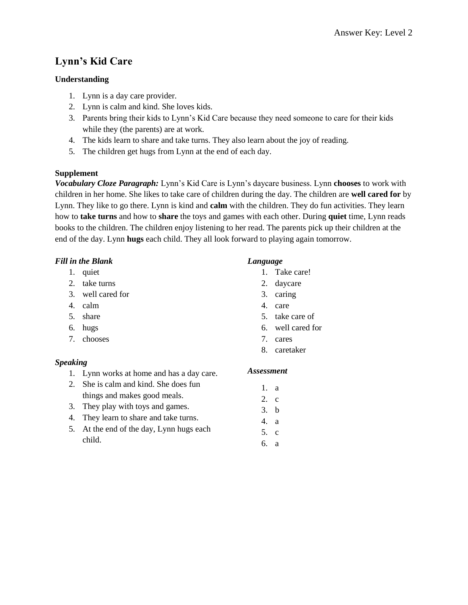# **Lynn's Kid Care**

# **Understanding**

- 1. Lynn is a day care provider.
- 2. Lynn is calm and kind. She loves kids.
- 3. Parents bring their kids to Lynn's Kid Care because they need someone to care for their kids while they (the parents) are at work.
- 4. The kids learn to share and take turns. They also learn about the joy of reading.
- 5. The children get hugs from Lynn at the end of each day.

# **Supplement**

*Vocabulary Cloze Paragraph:* Lynn's Kid Care is Lynn's daycare business. Lynn **chooses** to work with children in her home. She likes to take care of children during the day. The children are **well cared for** by Lynn. They like to go there. Lynn is kind and **calm** with the children. They do fun activities. They learn how to **take turns** and how to **share** the toys and games with each other. During **quiet** time, Lynn reads books to the children. The children enjoy listening to her read. The parents pick up their children at the end of the day. Lynn **hugs** each child. They all look forward to playing again tomorrow.

# *Fill in the Blank*

- 1. quiet
- 2. take turns
- 3. well cared for
- 4. calm
- 5. share
- 6. hugs
- 7. chooses

# *Speaking*

- 1. Lynn works at home and has a day care.
- 2. She is calm and kind. She does fun things and makes good meals.
- 3. They play with toys and games.
- 4. They learn to share and take turns.
- 5. At the end of the day, Lynn hugs each child.

# *Language*

- 1. Take care!
- 2. daycare
- 3. caring
- 4. care
- 5. take care of
- 6. well cared for
- 7. cares
- 8. caretaker

# *Assessment*

1. a 2. c 3. b 4. a 5. c 6. a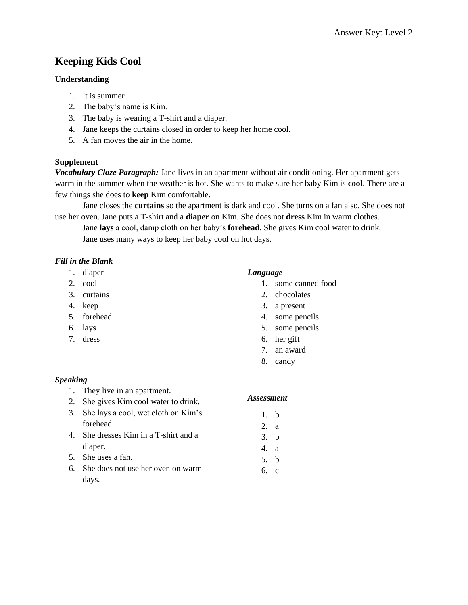# **Keeping Kids Cool**

### **Understanding**

- 1. It is summer
- 2. The baby's name is Kim.
- 3. The baby is wearing a T-shirt and a diaper.
- 4. Jane keeps the curtains closed in order to keep her home cool.
- 5. A fan moves the air in the home.

# **Supplement**

*Vocabulary Cloze Paragraph:* Jane lives in an apartment without air conditioning. Her apartment gets warm in the summer when the weather is hot. She wants to make sure her baby Kim is **cool**. There are a few things she does to **keep** Kim comfortable.

Jane closes the **curtains** so the apartment is dark and cool. She turns on a fan also. She does not use her oven. Jane puts a T-shirt and a **diaper** on Kim. She does not **dress** Kim in warm clothes.

Jane **lays** a cool, damp cloth on her baby's **forehead**. She gives Kim cool water to drink. Jane uses many ways to keep her baby cool on hot days.

# *Fill in the Blank*

- 1. diaper
- 2. cool
- 3. curtains
- 4. keep
- 5. forehead
- 6. lays
- 7. dress

### *Language*

- 1. some canned food
- 2. chocolates
- 3. a present
- 4. some pencils
- 5. some pencils
- 6. her gift
- 7. an award
- 8. candy

### *Speaking*

- 1. They live in an apartment.
- 2. She gives Kim cool water to drink.
- 3. She lays a cool, wet cloth on Kim's forehead.
- 4. She dresses Kim in a T-shirt and a diaper.
- 5. She uses a fan.
- 6. She does not use her oven on warm days.

- 1. b
- 2. a
- 3. b
- 4. a
- 5. b
- 6. c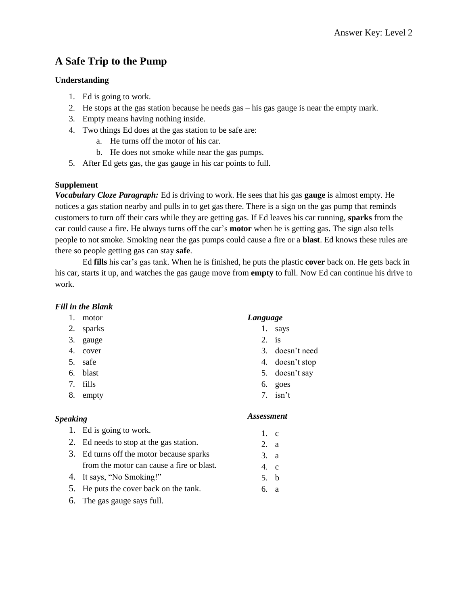# **A Safe Trip to the Pump**

# **Understanding**

- 1. Ed is going to work.
- 2. He stops at the gas station because he needs gas his gas gauge is near the empty mark.
- 3. Empty means having nothing inside.
- 4. Two things Ed does at the gas station to be safe are:
	- a. He turns off the motor of his car.
	- b. He does not smoke while near the gas pumps.
- 5. After Ed gets gas, the gas gauge in his car points to full.

# **Supplement**

*Vocabulary Cloze Paragraph:* Ed is driving to work. He sees that his gas **gauge** is almost empty. He notices a gas station nearby and pulls in to get gas there. There is a sign on the gas pump that reminds customers to turn off their cars while they are getting gas. If Ed leaves his car running, **sparks** from the car could cause a fire. He always turns off the car's **motor** when he is getting gas. The sign also tells people to not smoke. Smoking near the gas pumps could cause a fire or a **blast**. Ed knows these rules are there so people getting gas can stay **safe**.

Ed **fills** his car's gas tank. When he is finished, he puts the plastic **cover** back on. He gets back in his car, starts it up, and watches the gas gauge move from **empty** to full. Now Ed can continue his drive to work.

# *Fill in the Blank*

- 1. motor
- 2. sparks
- 3. gauge
- 4. cover
- 5. safe
- 6. blast
- 7. fills
- 8. empty

# *Speaking*

- 1. Ed is going to work.
- 2. Ed needs to stop at the gas station.
- 3. Ed turns off the motor because sparks from the motor can cause a fire or blast.
- 4. It says, "No Smoking!"
- 5. He puts the cover back on the tank.
- 6. The gas gauge says full.

# *Language*

- 1. says
- 2. is
- 3. doesn't need
- 4. doesn't stop
- 5. doesn't say
- 6. goes
- 7. isn't

- 1. c
- 2. a
- 3. a
- 4. c
- 5. b
- 6. a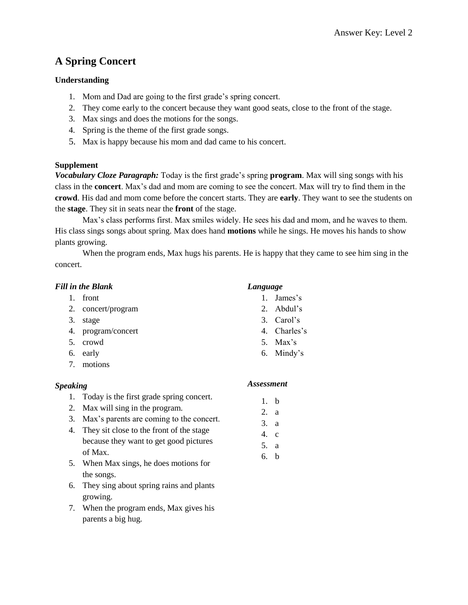# **A Spring Concert**

# **Understanding**

- 1. Mom and Dad are going to the first grade's spring concert.
- 2. They come early to the concert because they want good seats, close to the front of the stage.
- 3. Max sings and does the motions for the songs.
- 4. Spring is the theme of the first grade songs.
- 5. Max is happy because his mom and dad came to his concert.

### **Supplement**

*Vocabulary Cloze Paragraph:* Today is the first grade's spring **program**. Max will sing songs with his class in the **concert**. Max's dad and mom are coming to see the concert. Max will try to find them in the **crowd**. His dad and mom come before the concert starts. They are **early**. They want to see the students on the **stage**. They sit in seats near the **front** of the stage.

Max's class performs first. Max smiles widely. He sees his dad and mom, and he waves to them. His class sings songs about spring. Max does hand **motions** while he sings. He moves his hands to show plants growing.

When the program ends, Max hugs his parents. He is happy that they came to see him sing in the concert.

# *Fill in the Blank*

- 1. front
- 2. concert/program
- 3. stage
- 4. program/concert
- 5. crowd
- 6. early
- 7. motions

# *Speaking*

- 1. Today is the first grade spring concert.
- 2. Max will sing in the program.
- 3. Max's parents are coming to the concert.
- 4. They sit close to the front of the stage because they want to get good pictures of Max.
- 5. When Max sings, he does motions for the songs.
- 6. They sing about spring rains and plants growing.
- 7. When the program ends, Max gives his parents a big hug.

### *Language*

- 1. James's
- 2. Abdul's
- 3. Carol's
- 4. Charles's
- 5. Max's
- 6. Mindy's

#### *Assessment*

1. b 2. a

- 3. a
- 4. c 5. a
- 6. b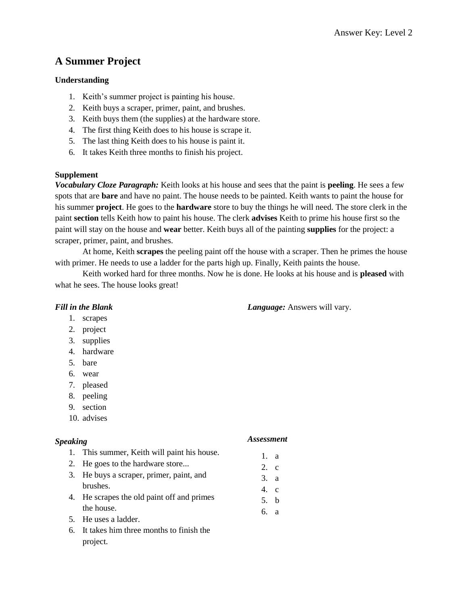# **A Summer Project**

# **Understanding**

- 1. Keith's summer project is painting his house.
- 2. Keith buys a scraper, primer, paint, and brushes.
- 3. Keith buys them (the supplies) at the hardware store.
- 4. The first thing Keith does to his house is scrape it.
- 5. The last thing Keith does to his house is paint it.
- 6. It takes Keith three months to finish his project.

# **Supplement**

*Vocabulary Cloze Paragraph:* Keith looks at his house and sees that the paint is **peeling**. He sees a few spots that are **bare** and have no paint. The house needs to be painted. Keith wants to paint the house for his summer **project**. He goes to the **hardware** store to buy the things he will need. The store clerk in the paint **section** tells Keith how to paint his house. The clerk **advises** Keith to prime his house first so the paint will stay on the house and **wear** better. Keith buys all of the painting **supplies** for the project: a scraper, primer, paint, and brushes.

At home, Keith **scrapes** the peeling paint off the house with a scraper. Then he primes the house with primer. He needs to use a ladder for the parts high up. Finally, Keith paints the house.

Keith worked hard for three months. Now he is done. He looks at his house and is **pleased** with what he sees. The house looks great!

### *Fill in the Blank*

### *Language:* Answers will vary.

- 1. scrapes
- 2. project
- 3. supplies
- 4. hardware
- 5. bare
- 6. wear
- 7. pleased
- 8. peeling
- 9. section
- 10. advises

### *Speaking*

#### *Assessment*

1. a 2. c 3. a 4. c 5. b 6. a

- 1. This summer, Keith will paint his house.
- 2. He goes to the hardware store...
- 3. He buys a scraper, primer, paint, and brushes.
- 4. He scrapes the old paint off and primes the house.
- 5. He uses a ladder.
- 6. It takes him three months to finish the project.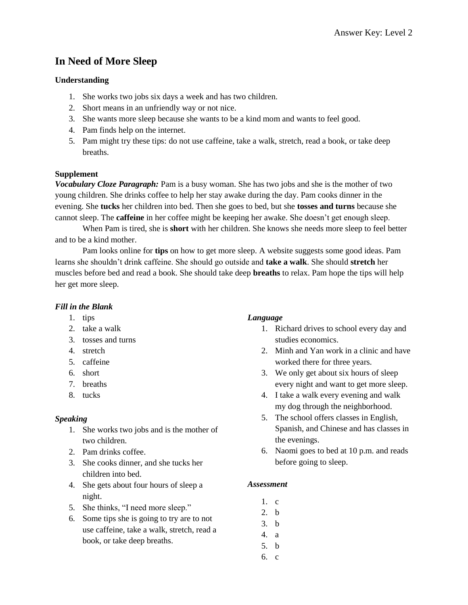# **In Need of More Sleep**

### **Understanding**

- 1. She works two jobs six days a week and has two children.
- 2. Short means in an unfriendly way or not nice.
- 3. She wants more sleep because she wants to be a kind mom and wants to feel good.
- 4. Pam finds help on the internet.
- 5. Pam might try these tips: do not use caffeine, take a walk, stretch, read a book, or take deep breaths.

### **Supplement**

*Vocabulary Cloze Paragraph:* Pam is a busy woman. She has two jobs and she is the mother of two young children. She drinks coffee to help her stay awake during the day. Pam cooks dinner in the evening. She **tucks** her children into bed. Then she goes to bed, but she **tosses and turns** because she cannot sleep. The **caffeine** in her coffee might be keeping her awake. She doesn't get enough sleep.

When Pam is tired, she is **short** with her children. She knows she needs more sleep to feel better and to be a kind mother.

Pam looks online for **tips** on how to get more sleep. A website suggests some good ideas. Pam learns she shouldn't drink caffeine. She should go outside and **take a walk**. She should **stretch** her muscles before bed and read a book. She should take deep **breaths** to relax. Pam hope the tips will help her get more sleep.

# *Fill in the Blank*

- 1. tips
- 2. take a walk
- 3. tosses and turns
- 4. stretch
- 5. caffeine
- 6. short
- 7. breaths
- 8. tucks

### *Speaking*

- 1. She works two jobs and is the mother of two children.
- 2. Pam drinks coffee.
- 3. She cooks dinner, and she tucks her children into bed.
- 4. She gets about four hours of sleep a night.
- 5. She thinks, "I need more sleep."
- 6. Some tips she is going to try are to not use caffeine, take a walk, stretch, read a book, or take deep breaths.

# *Language*

- 1. Richard drives to school every day and studies economics.
- 2. Minh and Yan work in a clinic and have worked there for three years.
- 3. We only get about six hours of sleep every night and want to get more sleep.
- 4. I take a walk every evening and walk my dog through the neighborhood.
- 5. The school offers classes in English, Spanish, and Chinese and has classes in the evenings.
- 6. Naomi goes to bed at 10 p.m. and reads before going to sleep.

- 1. c
- 2. b
- 3. b
- 4. a
- 5. b
- 6. c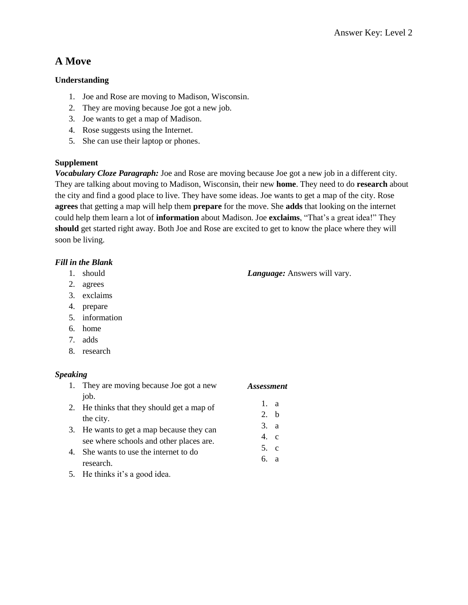# **A Move**

# **Understanding**

- 1. Joe and Rose are moving to Madison, Wisconsin.
- 2. They are moving because Joe got a new job.
- 3. Joe wants to get a map of Madison.
- 4. Rose suggests using the Internet.
- 5. She can use their laptop or phones.

# **Supplement**

*Vocabulary Cloze Paragraph:* Joe and Rose are moving because Joe got a new job in a different city. They are talking about moving to Madison, Wisconsin, their new **home**. They need to do **research** about the city and find a good place to live. They have some ideas. Joe wants to get a map of the city. Rose **agrees** that getting a map will help them **prepare** for the move. She **adds** that looking on the internet could help them learn a lot of **information** about Madison. Joe **exclaims**, "That's a great idea!" They **should** get started right away. Both Joe and Rose are excited to get to know the place where they will soon be living.

# *Fill in the Blank*

- 1. should
- 2. agrees
- 3. exclaims
- 4. prepare
- 5. information
- 6. home
- 7. adds
- 8. research

# *Speaking*

|    | 1. They are moving because Joe got a new   | <b>Assessment</b> |
|----|--------------------------------------------|-------------------|
|    | job.                                       |                   |
|    | 2. He thinks that they should get a map of | 1. a              |
|    | the city.                                  | $2-h$             |
|    | 3. He wants to get a map because they can  | 3. a              |
|    | see where schools and other places are.    | $4$ , c           |
| 4. | She wants to use the internet to do        | 5. c              |
|    | research.                                  | 6 а               |

5. He thinks it's a good idea.

*Language:* Answers will vary.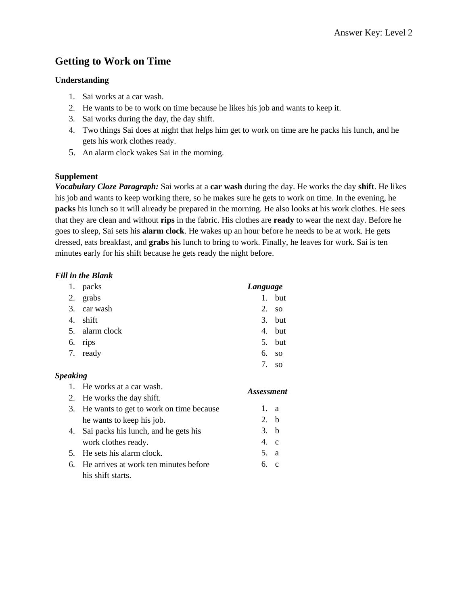# **Getting to Work on Time**

# **Understanding**

- 1. Sai works at a car wash.
- 2. He wants to be to work on time because he likes his job and wants to keep it.
- 3. Sai works during the day, the day shift.
- 4. Two things Sai does at night that helps him get to work on time are he packs his lunch, and he gets his work clothes ready.
- 5. An alarm clock wakes Sai in the morning.

# **Supplement**

*Vocabulary Cloze Paragraph:* Sai works at a **car wash** during the day. He works the day **shift**. He likes his job and wants to keep working there, so he makes sure he gets to work on time. In the evening, he **packs** his lunch so it will already be prepared in the morning. He also looks at his work clothes. He sees that they are clean and without **rips** in the fabric. His clothes are **ready** to wear the next day. Before he goes to sleep, Sai sets his **alarm clock**. He wakes up an hour before he needs to be at work. He gets dressed, eats breakfast, and **grabs** his lunch to bring to work. Finally, he leaves for work. Sai is ten minutes early for his shift because he gets ready the night before.

# *Fill in the Blank*

| 1. | packs          | Language                                  |                |
|----|----------------|-------------------------------------------|----------------|
|    | 2. grabs       |                                           | 1. but         |
|    | 3. car wash    |                                           | $2. \text{so}$ |
| 4. | shift          |                                           | 3. but         |
|    | 5. alarm clock |                                           | 4. but         |
|    | 6. rips        |                                           | 5. but         |
|    | 7. ready       |                                           | 6. so          |
|    |                | $7_{\scriptscriptstyle{\ddot{\text{c}}}}$ | <sub>SO</sub>  |

# *Speaking*

| 1. He works at a car wash.                 |               | <i>Assessment</i> |  |
|--------------------------------------------|---------------|-------------------|--|
| 2. He works the day shift.                 |               |                   |  |
| 3. He wants to get to work on time because | 1. a          |                   |  |
| he wants to keep his job.                  | 2. b          |                   |  |
| 4. Sai packs his lunch, and he gets his    | 3. b          |                   |  |
| work clothes ready.                        | $4 \text{ c}$ |                   |  |
| 5. He sets his alarm clock.                | 5. a          |                   |  |
| 6. He arrives at work ten minutes before   | 6. c          |                   |  |
| his shift starts.                          |               |                   |  |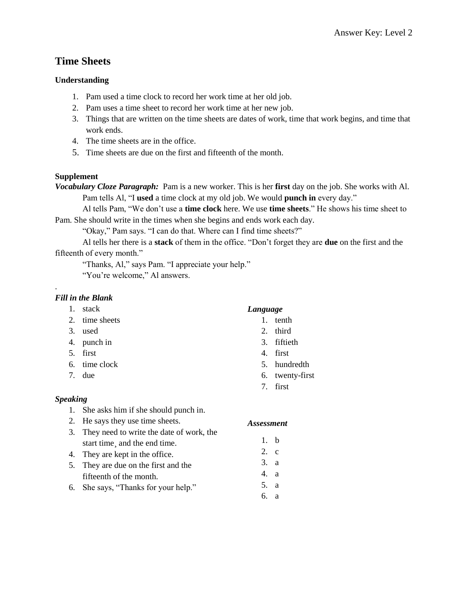# **Time Sheets**

# **Understanding**

- 1. Pam used a time clock to record her work time at her old job.
- 2. Pam uses a time sheet to record her work time at her new job.
- 3. Things that are written on the time sheets are dates of work, time that work begins, and time that work ends.
- 4. The time sheets are in the office.
- 5. Time sheets are due on the first and fifteenth of the month.

# **Supplement**

*Vocabulary Cloze Paragraph:* Pam is a new worker. This is her **first** day on the job. She works with Al. Pam tells Al, "I **used** a time clock at my old job. We would **punch in** every day."

Al tells Pam, "We don't use a **time clock** here. We use **time sheets**." He shows his time sheet to Pam. She should write in the times when she begins and ends work each day.

"Okay," Pam says. "I can do that. Where can I find time sheets?"

Al tells her there is a **stack** of them in the office. "Don't forget they are **due** on the first and the fifteenth of every month."

"Thanks, Al," says Pam. "I appreciate your help."

"You're welcome," Al answers.

# *Fill in the Blank*

.

- 1. stack
- 2. time sheets
- 3. used
- 4. punch in
- 5. first
- 6. time clock
- 7. due

# *Speaking*

- 1. She asks him if she should punch in.
- 2. He says they use time sheets.
- 3. They need to write the date of work, the start time and the end time.
- 4. They are kept in the office.
- 5. They are due on the first and the fifteenth of the month.
- 6. She says, "Thanks for your help."

# *Language*

- 1. tenth
- 2. third
- 3. fiftieth
- 4. first
- 5. hundredth
- 6. twenty-first
- 7. first

- 1. b
- 2. c
- 3. a
- 4. a
- 5. a
- 6. a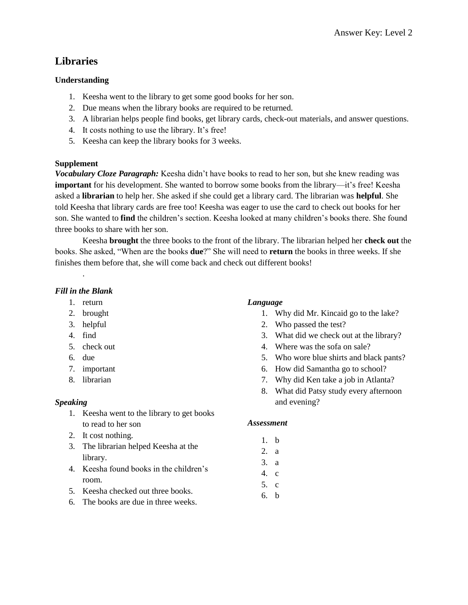# **Libraries**

### **Understanding**

- 1. Keesha went to the library to get some good books for her son.
- 2. Due means when the library books are required to be returned.
- 3. A librarian helps people find books, get library cards, check-out materials, and answer questions.
- 4. It costs nothing to use the library. It's free!
- 5. Keesha can keep the library books for 3 weeks.

# **Supplement**

*Vocabulary Cloze Paragraph:* Keesha didn't have books to read to her son, but she knew reading was **important** for his development. She wanted to borrow some books from the library—it's free! Keesha asked a **librarian** to help her. She asked if she could get a library card. The librarian was **helpful**. She told Keesha that library cards are free too! Keesha was eager to use the card to check out books for her son. She wanted to **find** the children's section. Keesha looked at many children's books there. She found three books to share with her son.

Keesha **brought** the three books to the front of the library. The librarian helped her **check out** the books. She asked, "When are the books **due**?" She will need to **return** the books in three weeks. If she finishes them before that, she will come back and check out different books!

# *Fill in the Blank*

.

- 1. return
- 2. brought
- 3. helpful
- 4. find
- 5. check out
- 6. due
- 7. important
- 8. librarian

### *Speaking*

- 1. Keesha went to the library to get books to read to her son
- 2. It cost nothing.
- 3. The librarian helped Keesha at the library.
- 4. Keesha found books in the children's room.
- 5. Keesha checked out three books.
- 6. The books are due in three weeks.

# *Language*

- 1. Why did Mr. Kincaid go to the lake?
- 2. Who passed the test?
- 3. What did we check out at the library?
- 4. Where was the sofa on sale?
- 5. Who wore blue shirts and black pants?
- 6. How did Samantha go to school?
- 7. Why did Ken take a job in Atlanta?
- 8. What did Patsy study every afternoon and evening?

- 1. b
- 2. a
- 3. a
- 4. c
- 5. c
- 6. b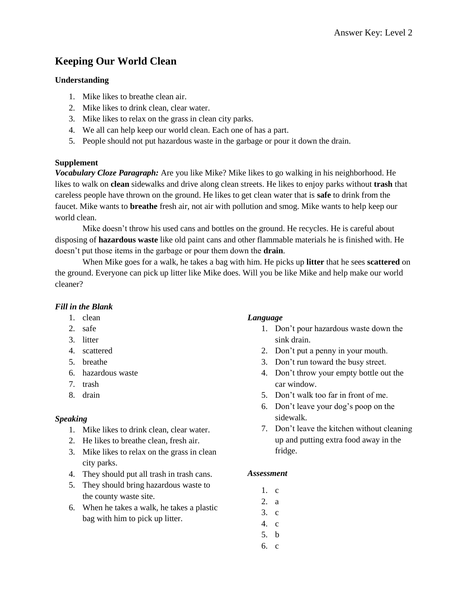# **Keeping Our World Clean**

# **Understanding**

- 1. Mike likes to breathe clean air.
- 2. Mike likes to drink clean, clear water.
- 3. Mike likes to relax on the grass in clean city parks.
- 4. We all can help keep our world clean. Each one of has a part.
- 5. People should not put hazardous waste in the garbage or pour it down the drain.

# **Supplement**

*Vocabulary Cloze Paragraph:* Are you like Mike? Mike likes to go walking in his neighborhood. He likes to walk on **clean** sidewalks and drive along clean streets. He likes to enjoy parks without **trash** that careless people have thrown on the ground. He likes to get clean water that is **safe** to drink from the faucet. Mike wants to **breathe** fresh air, not air with pollution and smog. Mike wants to help keep our world clean.

Mike doesn't throw his used cans and bottles on the ground. He recycles. He is careful about disposing of **hazardous waste** like old paint cans and other flammable materials he is finished with. He doesn't put those items in the garbage or pour them down the **drain**.

When Mike goes for a walk, he takes a bag with him. He picks up **litter** that he sees **scattered** on the ground. Everyone can pick up litter like Mike does. Will you be like Mike and help make our world cleaner?

# *Fill in the Blank*

- 1. clean
- 2. safe
- 3. litter
- 4. scattered
- 5. breathe
- 6. hazardous waste
- 7. trash
- 8. drain

### *Speaking*

- 1. Mike likes to drink clean, clear water.
- 2. He likes to breathe clean, fresh air.
- 3. Mike likes to relax on the grass in clean city parks.
- 4. They should put all trash in trash cans.
- 5. They should bring hazardous waste to the county waste site.
- 6. When he takes a walk, he takes a plastic bag with him to pick up litter.

# *Language*

- 1. Don't pour hazardous waste down the sink drain.
- 2. Don't put a penny in your mouth.
- 3. Don't run toward the busy street.
- 4. Don't throw your empty bottle out the car window.
- 5. Don't walk too far in front of me.
- 6. Don't leave your dog's poop on the sidewalk.
- 7. Don't leave the kitchen without cleaning up and putting extra food away in the fridge.

- 1. c
- 2. a
- 3. c
- 4. c
- 5. b
- 6. c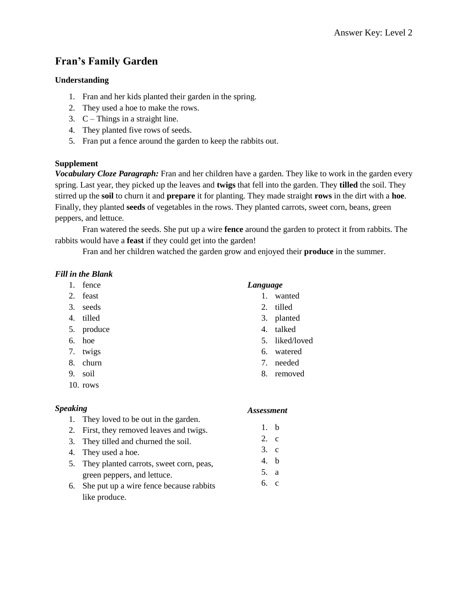# **Fran's Family Garden**

# **Understanding**

- 1. Fran and her kids planted their garden in the spring.
- 2. They used a hoe to make the rows.
- 3.  $C -$ Things in a straight line.
- 4. They planted five rows of seeds.
- 5. Fran put a fence around the garden to keep the rabbits out.

# **Supplement**

*Vocabulary Cloze Paragraph:* Fran and her children have a garden. They like to work in the garden every spring. Last year, they picked up the leaves and **twigs** that fell into the garden. They **tilled** the soil. They stirred up the **soil** to churn it and **prepare** it for planting. They made straight **rows** in the dirt with a **hoe**. Finally, they planted **seeds** of vegetables in the rows. They planted carrots, sweet corn, beans, green peppers, and lettuce.

Fran watered the seeds. She put up a wire **fence** around the garden to protect it from rabbits. The rabbits would have a **feast** if they could get into the garden!

Fran and her children watched the garden grow and enjoyed their **produce** in the summer.

# *Fill in the Blank*

- 1. fence
- 2. feast
- 3. seeds
- 4. tilled
- 5. produce
- 6. hoe
- 7. twigs
- 8. churn
- 9. soil
- 10. rows

# *Speaking*

- 1. They loved to be out in the garden.
- 2. First, they removed leaves and twigs.
- 3. They tilled and churned the soil.
- 4. They used a hoe.
- 5. They planted carrots, sweet corn, peas, green peppers, and lettuce.
- 6. She put up a wire fence because rabbits like produce.

### *Language*

- 1. wanted
- 2. tilled
- 3. planted
- 4. talked
- 5. liked/loved
- 6. watered
- 7. needed
- 8. removed

- 1. b
- 2. c
- 3. c
- 4. b
- 5. a
- 6. c